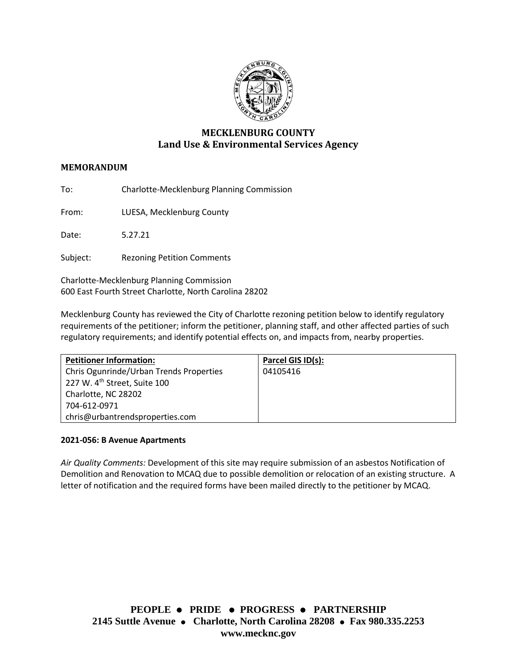

# **MECKLENBURG COUNTY Land Use & Environmental Services Agency**

# **MEMORANDUM**

To: Charlotte-Mecklenburg Planning Commission

From: LUESA, Mecklenburg County

Date: 5.27.21

Subject: Rezoning Petition Comments

Charlotte-Mecklenburg Planning Commission 600 East Fourth Street Charlotte, North Carolina 28202

Mecklenburg County has reviewed the City of Charlotte rezoning petition below to identify regulatory requirements of the petitioner; inform the petitioner, planning staff, and other affected parties of such regulatory requirements; and identify potential effects on, and impacts from, nearby properties.

| <b>Petitioner Information:</b>           | Parcel GIS ID(s): |
|------------------------------------------|-------------------|
| Chris Ogunrinde/Urban Trends Properties  | 04105416          |
| 227 W. 4 <sup>th</sup> Street, Suite 100 |                   |
| Charlotte, NC 28202                      |                   |
| 704-612-0971                             |                   |
| chris@urbantrendsproperties.com          |                   |

#### **2021-056: B Avenue Apartments**

*Air Quality Comments:* Development of this site may require submission of an asbestos Notification of Demolition and Renovation to MCAQ due to possible demolition or relocation of an existing structure. A letter of notification and the required forms have been mailed directly to the petitioner by MCAQ.